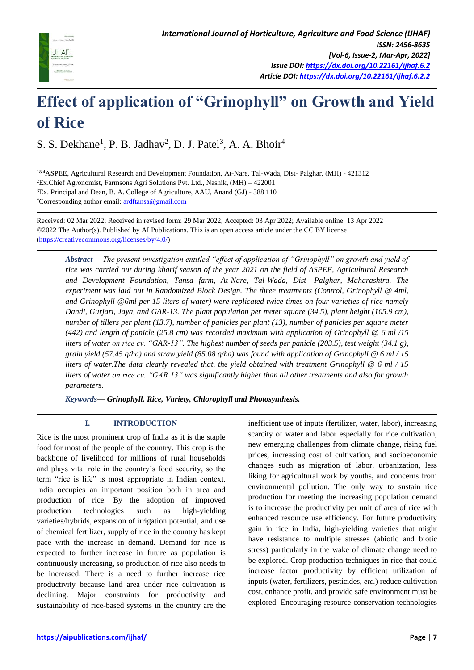

# **Effect of application of "Grinophyll" on Growth and Yield of Rice**

S. S. Dekhane<sup>1</sup>, P. B. Jadhav<sup>2</sup>, D. J. Patel<sup>3</sup>, A. A. Bhoir<sup>4</sup>

1&4ASPEE, Agricultural Research and Development Foundation, At-Nare, Tal-Wada, Dist- Palghar, (MH) - 421312 <sup>2</sup>Ex.Chief Agronomist, Farmsons Agri Solutions Pvt. Ltd., Nashik, (MH) – 422001 <sup>3</sup>Ex. Principal and Dean, B. A. College of Agriculture, AAU, Anand (GJ) - 388 110 \*Corresponding author email: [ardftansa@gmail.com](mailto:ardftansa@gmail.com)

Received: 02 Mar 2022; Received in revised form: 29 Mar 2022; Accepted: 03 Apr 2022; Available online: 13 Apr 2022 ©2022 The Author(s). Published by AI Publications. This is an open access article under the CC BY license [\(https://creativecommons.org/licenses/by/4.0/\)](https://creativecommons.org/licenses/by/4.0/)

*Abstract— The present investigation entitled "effect of application of "Grinophyll" on growth and yield of rice was carried out during kharif season of the year 2021 on the field of ASPEE, Agricultural Research and Development Foundation, Tansa farm, At-Nare, Tal-Wada, Dist- Palghar, Maharashtra. The experiment was laid out in Randomized Block Design. The three treatments (Control, Grinophyll @ 4ml, and Grinophyll @6ml per 15 liters of water) were replicated twice times on four varieties of rice namely Dandi, Gurjari, Jaya, and GAR-13. The plant population per meter square (34.5), plant height (105.9 cm), number of tillers per plant (13.7), number of panicles per plant (13), number of panicles per square meter (442) and length of panicle (25.8 cm) was recorded maximum with application of Grinophyll @ 6 ml /15 liters of water on rice cv. "GAR-13". The highest number of seeds per panicle (203.5), test weight (34.1 g), grain yield (57.45 q/ha) and straw yield (85.08 q/ha) was found with application of Grinophyll @ 6 ml / 15 liters of water.The data clearly revealed that, the yield obtained with treatment Grinophyll @ 6 ml / 15 liters of water on rice cv. "GAR 13" was significantly higher than all other treatments and also for growth parameters.* 

*Keywords— Grinophyll, Rice, Variety, Chlorophyll and Photosynthesis.*

# **I. INTRODUCTION**

Rice is the most prominent crop of India as it is the staple food for most of the people of the country. This crop is the backbone of livelihood for millions of rural households and plays vital role in the country's food security, so the term "rice is life" is most appropriate in Indian context. India occupies an important position both in area and production of rice. By the adoption of improved production technologies such as high-yielding varieties/hybrids, expansion of irrigation potential, and use of chemical fertilizer, supply of rice in the country has kept pace with the increase in demand. Demand for rice is expected to further increase in future as population is continuously increasing, so production of rice also needs to be increased. There is a need to further increase rice productivity because land area under rice cultivation is declining. Major constraints for productivity and sustainability of rice-based systems in the country are the

inefficient use of inputs (fertilizer, water, labor), increasing scarcity of water and labor especially for rice cultivation, new emerging challenges from climate change, rising fuel prices, increasing cost of cultivation, and socioeconomic changes such as migration of labor, urbanization, less liking for agricultural work by youths, and concerns from environmental pollution. The only way to sustain rice production for meeting the increasing population demand is to increase the productivity per unit of area of rice with enhanced resource use efficiency. For future productivity gain in rice in India, high-yielding varieties that might have resistance to multiple stresses (abiotic and biotic stress) particularly in the wake of climate change need to be explored. Crop production techniques in rice that could increase factor productivity by efficient utilization of inputs (water, fertilizers, pesticides, *etc.*) reduce cultivation cost, enhance profit, and provide safe environment must be explored. Encouraging resource conservation technologies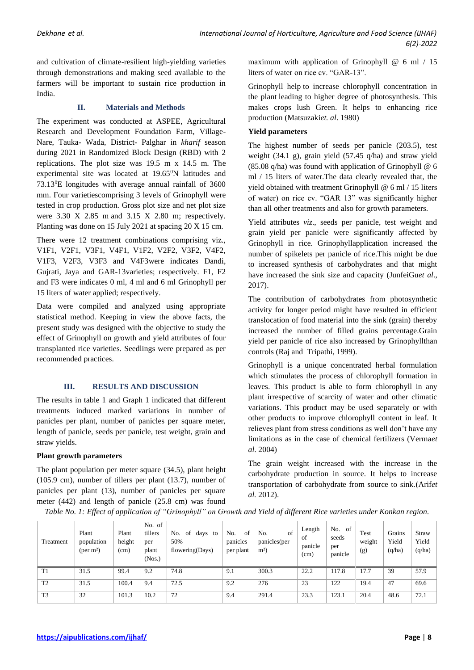and cultivation of climate-resilient high-yielding varieties through demonstrations and making seed available to the farmers will be important to sustain rice production in India.

#### **II. Materials and Methods**

The experiment was conducted at ASPEE, Agricultural Research and Development Foundation Farm, Village-Nare, Tauka- Wada, District- Palghar in *kharif* season during 2021 in Randomized Block Design (RBD) with 2 replications. The plot size was 19.5 m x 14.5 m. The experimental site was located at 19.65<sup>0</sup>N latitudes and 73.13<sup>0</sup>E longitudes with average annual rainfall of 3600 mm. Four varietiescomprising 3 levels of Grinophyll were tested in crop production. Gross plot size and net plot size were 3.30 X 2.85 m and 3.15 X 2.80 m; respectively. Planting was done on 15 July 2021 at spacing 20 X 15 cm.

There were 12 treatment combinations comprising viz., V1F1, V2F1, V3F1, V4F1, V1F2, V2F2, V3F2, V4F2, V1F3, V2F3, V3F3 and V4F3were indicates Dandi, Gujrati, Jaya and GAR-13varieties; respectively. F1, F2 and F3 were indicates 0 ml, 4 ml and 6 ml Grinophyll per 15 liters of water applied; respectively.

Data were compiled and analyzed using appropriate statistical method. Keeping in view the above facts, the present study was designed with the objective to study the effect of Grinophyll on growth and yield attributes of four transplanted rice varieties. Seedlings were prepared as per recommended practices.

# **III. RESULTS AND DISCUSSION**

The results in table 1 and Graph 1 indicated that different treatments induced marked variations in number of panicles per plant, number of panicles per square meter, length of panicle, seeds per panicle, test weight, grain and straw yields.

### **Plant growth parameters**

The plant population per meter square (34.5), plant height (105.9 cm), number of tillers per plant (13.7), number of panicles per plant (13), number of panicles per square meter (442) and length of panicle (25.8 cm) was found

maximum with application of Grinophyll  $@$  6 ml  $/$  15 liters of water on rice cv. "GAR-13".

Grinophyll help to increase chlorophyll concentration in the plant leading to higher degree of photosynthesis. This makes crops lush Green. It helps to enhancing rice production (Matsuzaki*et. al*. 1980)

#### **Yield parameters**

The highest number of seeds per panicle (203.5), test weight (34.1 g), grain yield (57.45 q/ha) and straw yield (85.08 q/ha) was found with application of Grinophyll @ 6 ml / 15 liters of water.The data clearly revealed that, the yield obtained with treatment Grinophyll @ 6 ml / 15 liters of water) on rice cv. "GAR 13" was significantly higher than all other treatments and also for growth parameters.

Yield attributes *viz*., seeds per panicle, test weight and grain yield per panicle were significantly affected by Grinophyll in rice. Grinophyllapplication increased the number of spikelets per panicle of rice.This might be due to increased synthesis of carbohydrates and that might have increased the sink size and capacity (JunfeiGu*et al*., 2017).

The contribution of carbohydrates from photosynthetic activity for longer period might have resulted in efficient translocation of food material into the sink (grain) thereby increased the number of filled grains percentage.Grain yield per panicle of rice also increased by Grinophyllthan controls (Raj and Tripathi, 1999).

Grinophyll is a unique concentrated herbal formulation which stimulates the process of chlorophyll formation in leaves. This product is able to form chlorophyll in any plant irrespective of scarcity of water and other climatic variations. This product may be used separately or with other products to improve chlorophyll content in leaf. It relieves plant from stress conditions as well don't have any limitations as in the case of chemical fertilizers (Verma*et al*. 2004)

The grain weight increased with the increase in the carbohydrate production in source. It helps to increase transportation of carbohydrate from source to sink.(Arif*et al.* 2012).

| Treatment      | Plant<br>population<br>$(per \, m^2)$ | Plant<br>height<br>(cm) | No. of<br>tillers<br>per<br>plant<br>(Nos.) | of<br>No.<br>days<br>to<br>50%<br>flowering(Days) | No.<br>of<br>panicles<br>per plant | of<br>No.<br>panicles(per<br>$m2$ ) | Length<br>of<br>panicle<br>(cm) | No.<br>of<br>seeds<br>per<br>panicle | Test<br>weight<br>(g) | Grains<br>Yield<br>(q/ha) | Straw<br>Yield<br>(q/ha) |
|----------------|---------------------------------------|-------------------------|---------------------------------------------|---------------------------------------------------|------------------------------------|-------------------------------------|---------------------------------|--------------------------------------|-----------------------|---------------------------|--------------------------|
| T1             | 31.5                                  | 99.4                    | 9.2                                         | 74.8                                              | 9.1                                | 300.3                               | 22.2                            | 117.8                                | 17.7                  | 39                        | 57.9                     |
| T <sub>2</sub> | 31.5                                  | 100.4                   | 9.4                                         | 72.5                                              | 9.2                                | 276                                 | 23                              | 122                                  | 19.4                  | 47                        | 69.6                     |
| T <sub>3</sub> | 32                                    | 101.3                   | 10.2                                        | 72                                                | 9.4                                | 291.4                               | 23.3                            | 123.1                                | 20.4                  | 48.6                      | 72.1                     |

*Table No. 1: Effect of application of "Grinophyll" on Growth and Yield of different Rice varieties under Konkan region.*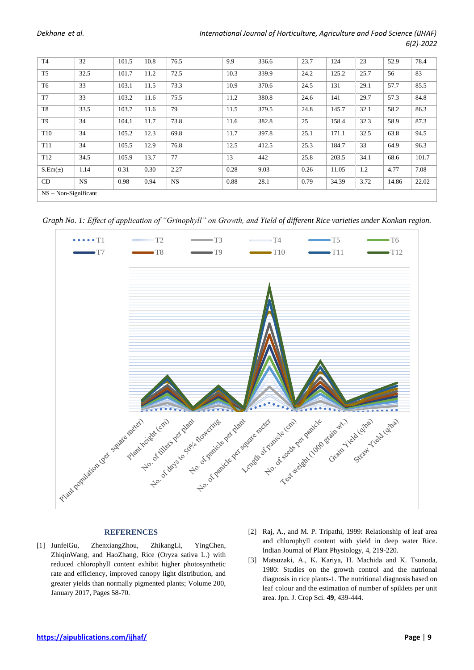| T <sub>4</sub>         | 32        | 101.5 | 10.8 | 76.5      | 9.9  | 336.6 | 23.7 | 124   | 23   | 52.9  | 78.4  |
|------------------------|-----------|-------|------|-----------|------|-------|------|-------|------|-------|-------|
| T <sub>5</sub>         | 32.5      | 101.7 | 11.2 | 72.5      | 10.3 | 339.9 | 24.2 | 125.2 | 25.7 | 56    | 83    |
| T <sub>6</sub>         | 33        | 103.1 | 11.5 | 73.3      | 10.9 | 370.6 | 24.5 | 131   | 29.1 | 57.7  | 85.5  |
| T7                     | 33        | 103.2 | 11.6 | 75.5      | 11.2 | 380.8 | 24.6 | 141   | 29.7 | 57.3  | 84.8  |
| T <sub>8</sub>         | 33.5      | 103.7 | 11.6 | 79        | 11.5 | 379.5 | 24.8 | 145.7 | 32.1 | 58.2  | 86.3  |
| T <sub>9</sub>         | 34        | 104.1 | 11.7 | 73.8      | 11.6 | 382.8 | 25   | 158.4 | 32.3 | 58.9  | 87.3  |
| T <sub>10</sub>        | 34        | 105.2 | 12.3 | 69.8      | 11.7 | 397.8 | 25.1 | 171.1 | 32.5 | 63.8  | 94.5  |
| T11                    | 34        | 105.5 | 12.9 | 76.8      | 12.5 | 412.5 | 25.3 | 184.7 | 33   | 64.9  | 96.3  |
| T <sub>12</sub>        | 34.5      | 105.9 | 13.7 | 77        | 13   | 442   | 25.8 | 203.5 | 34.1 | 68.6  | 101.7 |
| $S.Em(\pm)$            | 1.14      | 0.31  | 0.30 | 2.27      | 0.28 | 9.03  | 0.26 | 11.05 | 1.2  | 4.77  | 7.08  |
| CD                     | <b>NS</b> | 0.98  | 0.94 | <b>NS</b> | 0.88 | 28.1  | 0.79 | 34.39 | 3.72 | 14.86 | 22.02 |
| $NS - Non-Significant$ |           |       |      |           |      |       |      |       |      |       |       |

*Graph No. 1: Effect of application of "Grinophyll" on Growth, and Yield of different Rice varieties under Konkan region.* 



#### **REFERENCES**

- [1] JunfeiGu, ZhenxiangZhou, ZhikangLi, YingChen, ZhiqinWang, and HaoZhang, Rice (Oryza sativa L.) with reduced chlorophyll content exhibit higher photosynthetic rate and efficiency, improved canopy light distribution, and greater yields than normally pigmented plants; Volume 200, January 2017, Pages 58-70.
- [2] Raj, A., and M. P. Tripathi, 1999: Relationship of leaf area and chlorophyll content with yield in deep water Rice. Indian Journal of Plant Physiology, 4, 219-220.
- [3] Matsuzaki, A., K. Kariya, H. Machida and K. Tsunoda, 1980: Studies on the growth control and the nutrional diagnosis in rice plants-1. The nutritional diagnosis based on leaf colour and the estimation of number of spiklets per unit area. Jpn. J. Crop Sci. **49**, 439-444.